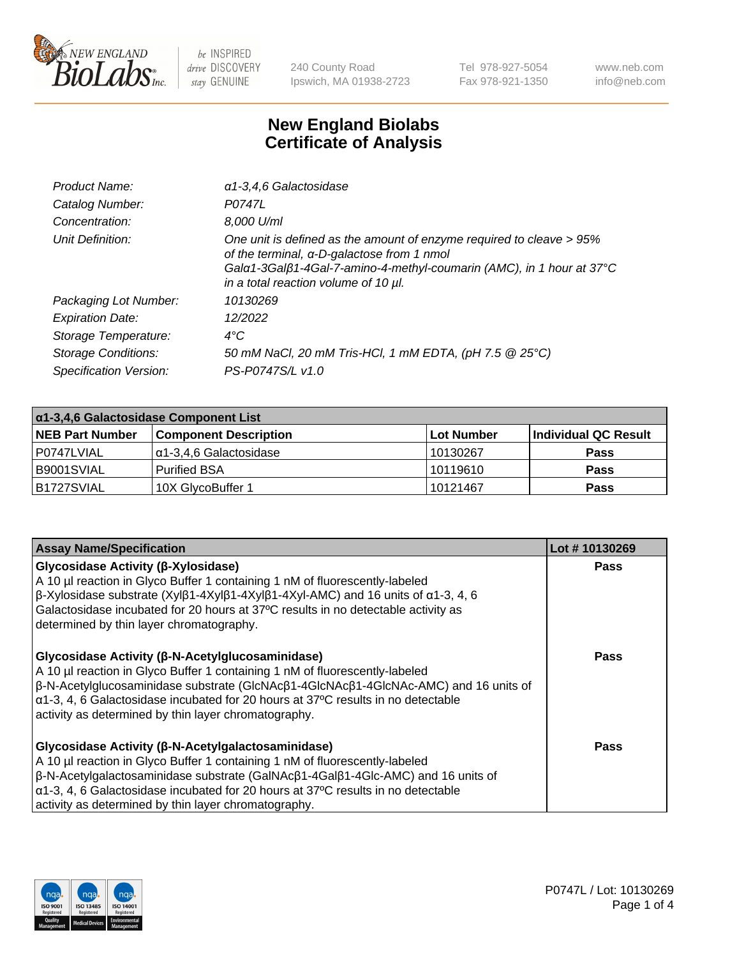

240 County Road Ipswich, MA 01938-2723 Tel 978-927-5054 Fax 978-921-1350 www.neb.com info@neb.com

## **New England Biolabs Certificate of Analysis**

| Product Name:              | $\alpha$ 1-3,4,6 Galactosidase                                                                                                                                                                                                            |
|----------------------------|-------------------------------------------------------------------------------------------------------------------------------------------------------------------------------------------------------------------------------------------|
| Catalog Number:            | P0747L                                                                                                                                                                                                                                    |
| Concentration:             | 8,000 U/ml                                                                                                                                                                                                                                |
| Unit Definition:           | One unit is defined as the amount of enzyme required to cleave > 95%<br>of the terminal, α-D-galactose from 1 nmol<br>Gala 1-3Galß 1-4Gal-7-amino-4-methyl-coumarin (AMC), in 1 hour at 37°C<br>in a total reaction volume of 10 $\mu$ l. |
| Packaging Lot Number:      | 10130269                                                                                                                                                                                                                                  |
| <b>Expiration Date:</b>    | 12/2022                                                                                                                                                                                                                                   |
| Storage Temperature:       | $4^{\circ}C$                                                                                                                                                                                                                              |
| <b>Storage Conditions:</b> | 50 mM NaCl, 20 mM Tris-HCl, 1 mM EDTA, (pH 7.5 @ 25°C)                                                                                                                                                                                    |
| Specification Version:     | PS-P0747S/L v1.0                                                                                                                                                                                                                          |

| $\alpha$ 1-3,4,6 Galactosidase Component List |                              |            |                      |  |
|-----------------------------------------------|------------------------------|------------|----------------------|--|
| <b>NEB Part Number</b>                        | <b>Component Description</b> | Lot Number | Individual QC Result |  |
| l P0747LVIAL                                  | l α1-3.4.6 Galactosidase     | 10130267   | <b>Pass</b>          |  |
| IB9001SVIAL                                   | l Purified BSA               | 10119610   | <b>Pass</b>          |  |
| B1727SVIAL                                    | 10X GlycoBuffer 1            | 10121467   | <b>Pass</b>          |  |

| <b>Assay Name/Specification</b>                                                                                                                                                                                                                                                                                                                                                                    | Lot #10130269 |
|----------------------------------------------------------------------------------------------------------------------------------------------------------------------------------------------------------------------------------------------------------------------------------------------------------------------------------------------------------------------------------------------------|---------------|
| Glycosidase Activity (β-Xylosidase)<br>A 10 µl reaction in Glyco Buffer 1 containing 1 nM of fluorescently-labeled<br>$\beta$ -Xylosidase substrate (Xyl $\beta$ 1-4Xyl $\beta$ 1-4Xyl $\beta$ 1-4Xyl-AMC) and 16 units of $\alpha$ 1-3, 4, 6<br>Galactosidase incubated for 20 hours at 37°C results in no detectable activity as<br>determined by thin layer chromatography.                     | <b>Pass</b>   |
| Glycosidase Activity (β-N-Acetylglucosaminidase)<br>A 10 µl reaction in Glyco Buffer 1 containing 1 nM of fluorescently-labeled<br>$\beta$ -N-Acetylglucosaminidase substrate (GIcNAc $\beta$ 1-4GIcNAc $\beta$ 1-4GIcNAc-AMC) and 16 units of<br>$\alpha$ 1-3, 4, 6 Galactosidase incubated for 20 hours at 37°C results in no detectable<br>activity as determined by thin layer chromatography. | Pass          |
| <b>Glycosidase Activity (β-N-Acetylgalactosaminidase)</b><br>A 10 µl reaction in Glyco Buffer 1 containing 1 nM of fluorescently-labeled<br>β-N-Acetylgalactosaminidase substrate (GalNAcβ1-4Galβ1-4Glc-AMC) and 16 units of<br>$\alpha$ 1-3, 4, 6 Galactosidase incubated for 20 hours at 37°C results in no detectable<br>activity as determined by thin layer chromatography.                   | Pass          |

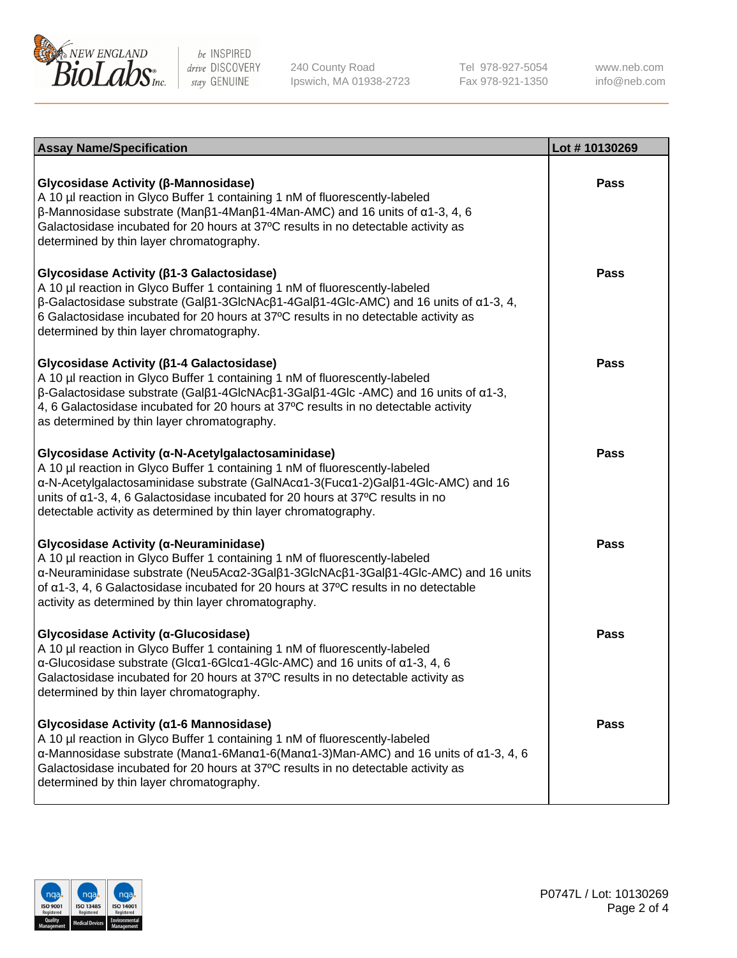

240 County Road Ipswich, MA 01938-2723 Tel 978-927-5054 Fax 978-921-1350

www.neb.com info@neb.com

| <b>Assay Name/Specification</b>                                                                                                                                                                                                                                                                                                                                                             | Lot #10130269 |
|---------------------------------------------------------------------------------------------------------------------------------------------------------------------------------------------------------------------------------------------------------------------------------------------------------------------------------------------------------------------------------------------|---------------|
| Glycosidase Activity (β-Mannosidase)<br>A 10 µl reaction in Glyco Buffer 1 containing 1 nM of fluorescently-labeled<br>$\beta$ -Mannosidase substrate (Man $\beta$ 1-4Man $\beta$ 1-4Man-AMC) and 16 units of $\alpha$ 1-3, 4, 6<br>Galactosidase incubated for 20 hours at 37°C results in no detectable activity as<br>determined by thin layer chromatography.                           | <b>Pass</b>   |
| Glycosidase Activity (β1-3 Galactosidase)<br>A 10 µl reaction in Glyco Buffer 1 containing 1 nM of fluorescently-labeled<br>$\beta$ -Galactosidase substrate (Gal $\beta$ 1-3GlcNAc $\beta$ 1-4Gal $\beta$ 1-4Glc-AMC) and 16 units of $\alpha$ 1-3, 4,<br>6 Galactosidase incubated for 20 hours at 37°C results in no detectable activity as<br>determined by thin layer chromatography.  | Pass          |
| Glycosidase Activity (β1-4 Galactosidase)<br>A 10 µl reaction in Glyco Buffer 1 containing 1 nM of fluorescently-labeled<br>$\beta$ -Galactosidase substrate (Gal $\beta$ 1-4GlcNAc $\beta$ 1-3Gal $\beta$ 1-4Glc -AMC) and 16 units of $\alpha$ 1-3,<br>4, 6 Galactosidase incubated for 20 hours at 37°C results in no detectable activity<br>as determined by thin layer chromatography. | <b>Pass</b>   |
| Glycosidase Activity (a-N-Acetylgalactosaminidase)<br>A 10 µl reaction in Glyco Buffer 1 containing 1 nM of fluorescently-labeled<br>α-N-Acetylgalactosaminidase substrate (GalNAcα1-3(Fucα1-2)Galβ1-4Glc-AMC) and 16<br>units of $\alpha$ 1-3, 4, 6 Galactosidase incubated for 20 hours at 37°C results in no<br>detectable activity as determined by thin layer chromatography.          | <b>Pass</b>   |
| Glycosidase Activity (α-Neuraminidase)<br>A 10 µl reaction in Glyco Buffer 1 containing 1 nM of fluorescently-labeled<br>α-Neuraminidase substrate (Neu5Acα2-3Galβ1-3GlcNAcβ1-3Galβ1-4Glc-AMC) and 16 units<br>of $\alpha$ 1-3, 4, 6 Galactosidase incubated for 20 hours at 37°C results in no detectable<br>activity as determined by thin layer chromatography.                          | <b>Pass</b>   |
| Glycosidase Activity (α-Glucosidase)<br>A 10 µl reaction in Glyco Buffer 1 containing 1 nM of fluorescently-labeled<br>$\alpha$ -Glucosidase substrate (Glc $\alpha$ 1-6Glc $\alpha$ 1-4Glc-AMC) and 16 units of $\alpha$ 1-3, 4, 6<br>Galactosidase incubated for 20 hours at 37°C results in no detectable activity as<br>determined by thin layer chromatography.                        | <b>Pass</b>   |
| Glycosidase Activity (a1-6 Mannosidase)<br>A 10 µl reaction in Glyco Buffer 1 containing 1 nM of fluorescently-labeled<br>$\alpha$ -Mannosidase substrate (Man $\alpha$ 1-6Man $\alpha$ 1-6(Man $\alpha$ 1-3)Man-AMC) and 16 units of $\alpha$ 1-3, 4, 6<br>Galactosidase incubated for 20 hours at 37°C results in no detectable activity as<br>determined by thin layer chromatography.   | Pass          |

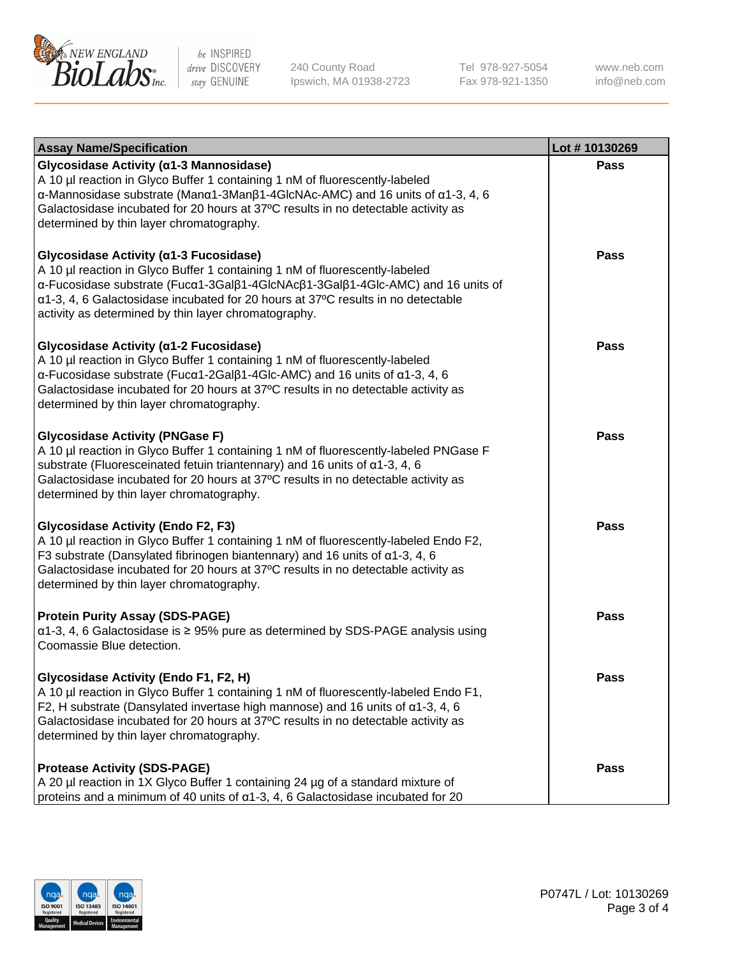

240 County Road Ipswich, MA 01938-2723 Tel 978-927-5054 Fax 978-921-1350 www.neb.com info@neb.com

| <b>Assay Name/Specification</b>                                                                                                                                                                                                                                                                                                                                           | Lot #10130269 |
|---------------------------------------------------------------------------------------------------------------------------------------------------------------------------------------------------------------------------------------------------------------------------------------------------------------------------------------------------------------------------|---------------|
| Glycosidase Activity (α1-3 Mannosidase)<br>A 10 µl reaction in Glyco Buffer 1 containing 1 nM of fluorescently-labeled<br>$\alpha$ -Mannosidase substrate (Man $\alpha$ 1-3Man $\beta$ 1-4GlcNAc-AMC) and 16 units of $\alpha$ 1-3, 4, 6<br>Galactosidase incubated for 20 hours at 37°C results in no detectable activity as<br>determined by thin layer chromatography. | Pass          |
| Glycosidase Activity (α1-3 Fucosidase)<br>A 10 µl reaction in Glyco Buffer 1 containing 1 nM of fluorescently-labeled<br>α-Fucosidase substrate (Fucα1-3Galβ1-4GlcNAcβ1-3Galβ1-4Glc-AMC) and 16 units of<br>$\alpha$ 1-3, 4, 6 Galactosidase incubated for 20 hours at 37°C results in no detectable<br>activity as determined by thin layer chromatography.              | Pass          |
| Glycosidase Activity (α1-2 Fucosidase)<br>A 10 µl reaction in Glyco Buffer 1 containing 1 nM of fluorescently-labeled<br>$\alpha$ -Fucosidase substrate (Fuc $\alpha$ 1-2Gal $\beta$ 1-4Glc-AMC) and 16 units of $\alpha$ 1-3, 4, 6<br>Galactosidase incubated for 20 hours at 37°C results in no detectable activity as<br>determined by thin layer chromatography.      | <b>Pass</b>   |
| <b>Glycosidase Activity (PNGase F)</b><br>A 10 µl reaction in Glyco Buffer 1 containing 1 nM of fluorescently-labeled PNGase F<br>substrate (Fluoresceinated fetuin triantennary) and 16 units of $\alpha$ 1-3, 4, 6<br>Galactosidase incubated for 20 hours at 37°C results in no detectable activity as<br>determined by thin layer chromatography.                     | Pass          |
| <b>Glycosidase Activity (Endo F2, F3)</b><br>A 10 µl reaction in Glyco Buffer 1 containing 1 nM of fluorescently-labeled Endo F2,<br>F3 substrate (Dansylated fibrinogen biantennary) and 16 units of $\alpha$ 1-3, 4, 6<br>Galactosidase incubated for 20 hours at 37°C results in no detectable activity as<br>determined by thin layer chromatography.                 | Pass          |
| <b>Protein Purity Assay (SDS-PAGE)</b><br>$\alpha$ 1-3, 4, 6 Galactosidase is $\geq$ 95% pure as determined by SDS-PAGE analysis using<br>Coomassie Blue detection.                                                                                                                                                                                                       | <b>Pass</b>   |
| Glycosidase Activity (Endo F1, F2, H)<br>A 10 µl reaction in Glyco Buffer 1 containing 1 nM of fluorescently-labeled Endo F1,<br>F2, H substrate (Dansylated invertase high mannose) and 16 units of $\alpha$ 1-3, 4, 6<br>Galactosidase incubated for 20 hours at 37°C results in no detectable activity as<br>determined by thin layer chromatography.                  | Pass          |
| <b>Protease Activity (SDS-PAGE)</b><br>A 20 µl reaction in 1X Glyco Buffer 1 containing 24 µg of a standard mixture of<br>proteins and a minimum of 40 units of $\alpha$ 1-3, 4, 6 Galactosidase incubated for 20                                                                                                                                                         | Pass          |